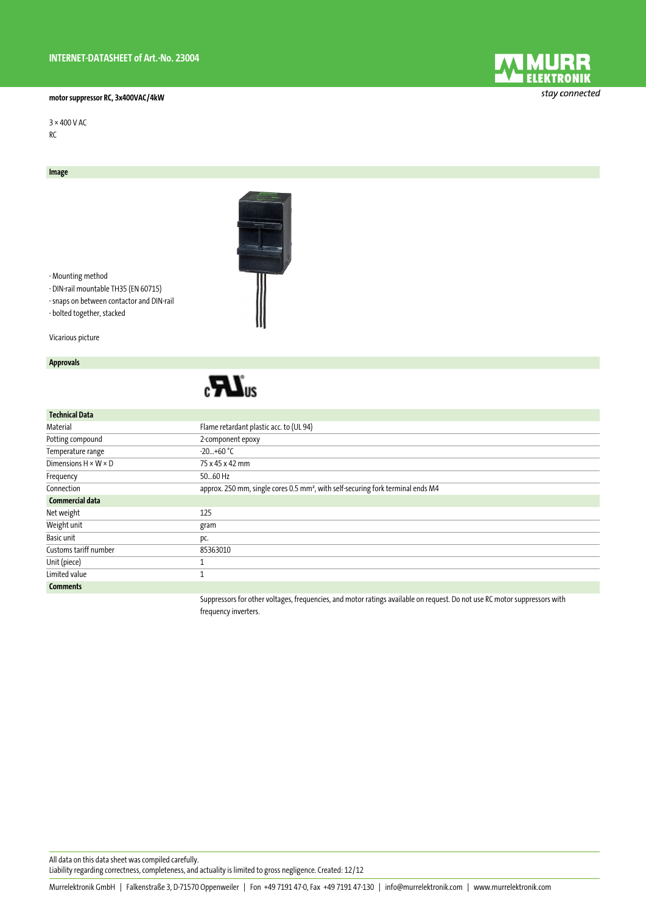## **motor suppressor RC, 3x400VAC/4kW**

3 × 400 V AC RC

**Image**

- Mounting method
- DIN-rail mountable TH35 (EN 60715)
- snaps on between contactor and DIN-rail - bolted together, stacked

Vicarious picture

## **Approvals**



| <b>Technical Data</b>            |                                                                                                                    |
|----------------------------------|--------------------------------------------------------------------------------------------------------------------|
| Material                         | Flame retardant plastic acc. to (UL 94)                                                                            |
| Potting compound                 | 2-component epoxy                                                                                                  |
| Temperature range                | $-20+60$ °C                                                                                                        |
| Dimensions $H \times W \times D$ | 75 x 45 x 42 mm                                                                                                    |
| Frequency                        | 5060 Hz                                                                                                            |
| Connection                       | approx. 250 mm, single cores 0.5 mm <sup>2</sup> , with self-securing fork terminal ends M4                        |
| Commercial data                  |                                                                                                                    |
| Net weight                       | 125                                                                                                                |
| Weight unit                      | gram                                                                                                               |
| Basic unit                       | pc.                                                                                                                |
| Customs tariff number            | 85363010                                                                                                           |
| Unit (piece)                     |                                                                                                                    |
| Limited value                    |                                                                                                                    |
| <b>Comments</b>                  |                                                                                                                    |
|                                  | Cunnacesar for othoricksone frogrammine and motor ratinge quailable on rogant Do not use BC motor cunnacesary with |

Suppressors for other voltages, frequencies, and motor ratings available on request. Do not use RC motor suppressors with frequency inverters.

All data on this data sheet was compiled carefully.

Liability regarding correctness, completeness, and actuality is limited to gross negligence. Created: 12/12



stay connected